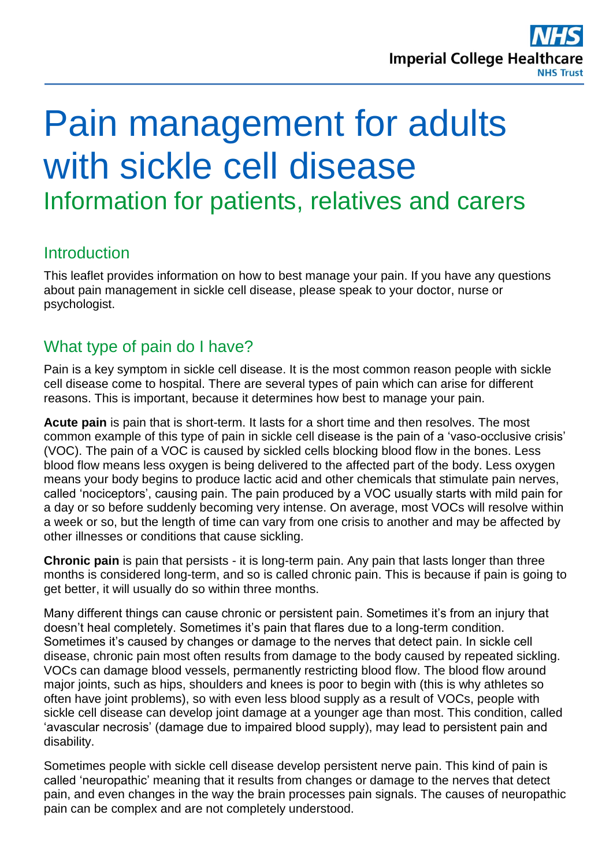# Pain management for adults with sickle cell disease Information for patients, relatives and carers

# **Introduction**

This leaflet provides information on how to best manage your pain. If you have any questions about pain management in sickle cell disease, please speak to your doctor, nurse or psychologist.

# What type of pain do I have?

Pain is a key symptom in sickle cell disease. It is the most common reason people with sickle cell disease come to hospital. There are several types of pain which can arise for different reasons. This is important, because it determines how best to manage your pain.

**Acute pain** is pain that is short-term. It lasts for a short time and then resolves. The most common example of this type of pain in sickle cell disease is the pain of a 'vaso-occlusive crisis' (VOC). The pain of a VOC is caused by sickled cells blocking blood flow in the bones. Less blood flow means less oxygen is being delivered to the affected part of the body. Less oxygen means your body begins to produce lactic acid and other chemicals that stimulate pain nerves, called 'nociceptors', causing pain. The pain produced by a VOC usually starts with mild pain for a day or so before suddenly becoming very intense. On average, most VOCs will resolve within a week or so, but the length of time can vary from one crisis to another and may be affected by other illnesses or conditions that cause sickling.

**Chronic pain** is pain that persists - it is long-term pain. Any pain that lasts longer than three months is considered long-term, and so is called chronic pain. This is because if pain is going to get better, it will usually do so within three months.

Many different things can cause chronic or persistent pain. Sometimes it's from an injury that doesn't heal completely. Sometimes it's pain that flares due to a long-term condition. Sometimes it's caused by changes or damage to the nerves that detect pain. In sickle cell disease, chronic pain most often results from damage to the body caused by repeated sickling. VOCs can damage blood vessels, permanently restricting blood flow. The blood flow around major joints, such as hips, shoulders and knees is poor to begin with (this is why athletes so often have joint problems), so with even less blood supply as a result of VOCs, people with sickle cell disease can develop joint damage at a younger age than most. This condition, called 'avascular necrosis' (damage due to impaired blood supply), may lead to persistent pain and disability.

Sometimes people with sickle cell disease develop persistent nerve pain. This kind of pain is called 'neuropathic' meaning that it results from changes or damage to the nerves that detect pain, and even changes in the way the brain processes pain signals. The causes of neuropathic pain can be complex and are not completely understood.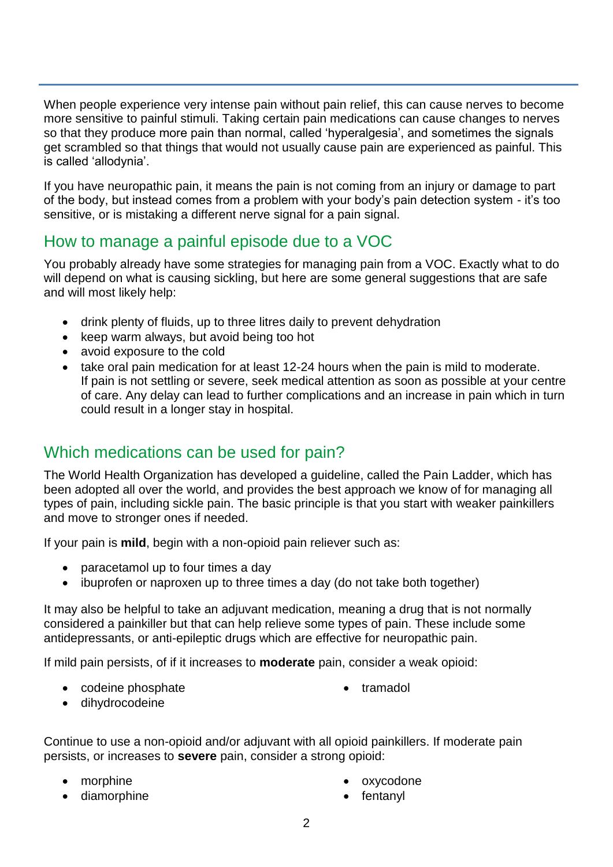When people experience very intense pain without pain relief, this can cause nerves to become more sensitive to painful stimuli. Taking certain pain medications can cause changes to nerves so that they produce more pain than normal, called 'hyperalgesia', and sometimes the signals get scrambled so that things that would not usually cause pain are experienced as painful. This is called 'allodynia'.

If you have neuropathic pain, it means the pain is not coming from an injury or damage to part of the body, but instead comes from a problem with your body's pain detection system - it's too sensitive, or is mistaking a different nerve signal for a pain signal.

## How to manage a painful episode due to a VOC

You probably already have some strategies for managing pain from a VOC. Exactly what to do will depend on what is causing sickling, but here are some general suggestions that are safe and will most likely help:

- drink plenty of fluids, up to three litres daily to prevent dehydration
- keep warm always, but avoid being too hot
- avoid exposure to the cold
- take oral pain medication for at least 12-24 hours when the pain is mild to moderate. If pain is not settling or severe, seek medical attention as soon as possible at your centre of care. Any delay can lead to further complications and an increase in pain which in turn could result in a longer stay in hospital.

# Which medications can be used for pain?

The World Health Organization has developed a guideline, called the Pain Ladder, which has been adopted all over the world, and provides the best approach we know of for managing all types of pain, including sickle pain. The basic principle is that you start with weaker painkillers and move to stronger ones if needed.

If your pain is **mild**, begin with a non-opioid pain reliever such as:

- paracetamol up to four times a day
- ibuprofen or naproxen up to three times a day (do not take both together)

It may also be helpful to take an adjuvant medication, meaning a drug that is not normally considered a painkiller but that can help relieve some types of pain. These include some antidepressants, or anti-epileptic drugs which are effective for neuropathic pain.

If mild pain persists, of if it increases to **moderate** pain, consider a weak opioid:

• codeine phosphate

• tramadol

dihydrocodeine

Continue to use a non-opioid and/or adjuvant with all opioid painkillers. If moderate pain persists, or increases to **severe** pain, consider a strong opioid:

- morphine
- diamorphine
- oxycodone
- fentanyl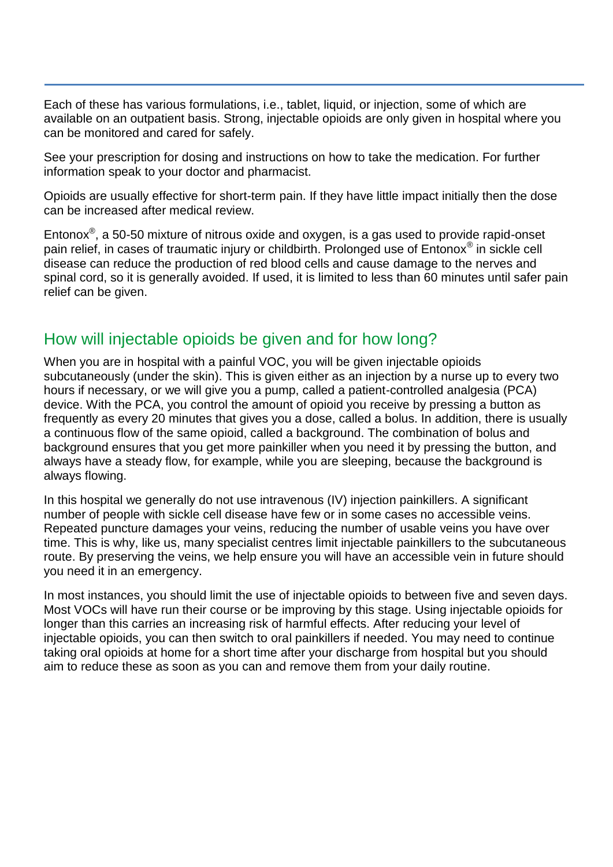Each of these has various formulations, i.e., tablet, liquid, or injection, some of which are available on an outpatient basis. Strong, injectable opioids are only given in hospital where you can be monitored and cared for safely.

See your prescription for dosing and instructions on how to take the medication. For further information speak to your doctor and pharmacist.

Opioids are usually effective for short-term pain. If they have little impact initially then the dose can be increased after medical review.

Entonox<sup>®</sup>, a 50-50 mixture of nitrous oxide and oxygen, is a gas used to provide rapid-onset pain relief, in cases of traumatic injury or childbirth. Prolonged use of Entonox® in sickle cell disease can reduce the production of red blood cells and cause damage to the nerves and spinal cord, so it is generally avoided. If used, it is limited to less than 60 minutes until safer pain relief can be given.

## How will injectable opioids be given and for how long?

When you are in hospital with a painful VOC, you will be given injectable opioids subcutaneously (under the skin). This is given either as an injection by a nurse up to every two hours if necessary, or we will give you a pump, called a patient-controlled analgesia (PCA) device. With the PCA, you control the amount of opioid you receive by pressing a button as frequently as every 20 minutes that gives you a dose, called a bolus. In addition, there is usually a continuous flow of the same opioid, called a background. The combination of bolus and background ensures that you get more painkiller when you need it by pressing the button, and always have a steady flow, for example, while you are sleeping, because the background is always flowing.

In this hospital we generally do not use intravenous (IV) injection painkillers. A significant number of people with sickle cell disease have few or in some cases no accessible veins. Repeated puncture damages your veins, reducing the number of usable veins you have over time. This is why, like us, many specialist centres limit injectable painkillers to the subcutaneous route. By preserving the veins, we help ensure you will have an accessible vein in future should you need it in an emergency.

In most instances, you should limit the use of injectable opioids to between five and seven days. Most VOCs will have run their course or be improving by this stage. Using injectable opioids for longer than this carries an increasing risk of harmful effects. After reducing your level of injectable opioids, you can then switch to oral painkillers if needed. You may need to continue taking oral opioids at home for a short time after your discharge from hospital but you should aim to reduce these as soon as you can and remove them from your daily routine.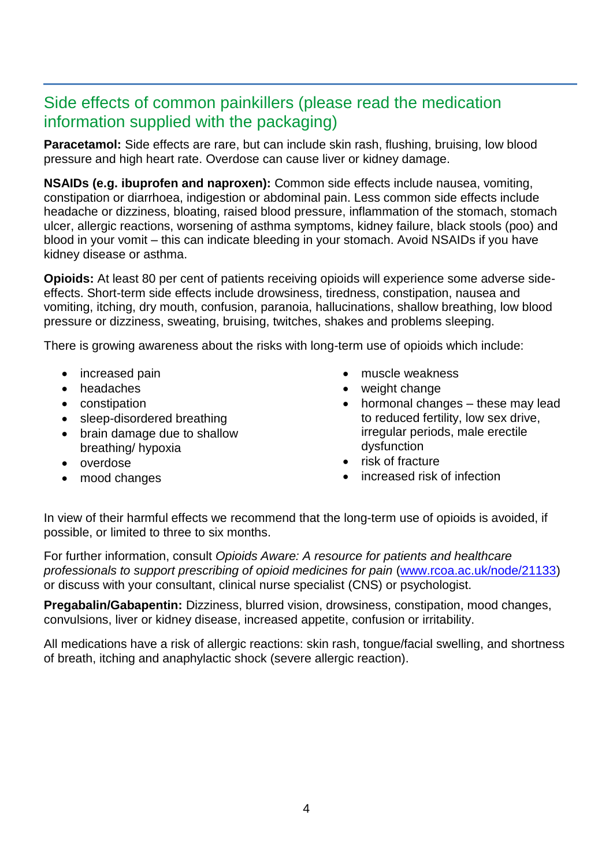## Side effects of common painkillers (please read the medication information supplied with the packaging)

**Paracetamol:** Side effects are rare, but can include skin rash, flushing, bruising, low blood pressure and high heart rate. Overdose can cause liver or kidney damage.

**NSAIDs (e.g. ibuprofen and naproxen):** Common side effects include nausea, vomiting, constipation or diarrhoea, indigestion or abdominal pain. Less common side effects include headache or dizziness, bloating, raised blood pressure, inflammation of the stomach, stomach ulcer, allergic reactions, worsening of asthma symptoms, kidney failure, black stools (poo) and blood in your vomit – this can indicate bleeding in your stomach. Avoid NSAIDs if you have kidney disease or asthma.

**Opioids:** At least 80 per cent of patients receiving opioids will experience some adverse sideeffects. Short-term side effects include drowsiness, tiredness, constipation, nausea and vomiting, itching, dry mouth, confusion, paranoia, hallucinations, shallow breathing, low blood pressure or dizziness, sweating, bruising, twitches, shakes and problems sleeping.

There is growing awareness about the risks with long-term use of opioids which include:

- increased pain
- headaches
- constipation
- sleep-disordered breathing
- brain damage due to shallow breathing/ hypoxia
- overdose
- mood changes
- muscle weakness
- weight change
- hormonal changes these may lead to reduced fertility, low sex drive, irregular periods, male erectile dysfunction
- risk of fracture
- increased risk of infection

In view of their harmful effects we recommend that the long-term use of opioids is avoided, if possible, or limited to three to six months.

For further information, consult *Opioids Aware: A resource for patients and healthcare professionals to support prescribing of opioid medicines for pain* [\(www.rcoa.ac.uk/node/21133\)](http://www.rcoa.ac.uk/node/21133) or discuss with your consultant, clinical nurse specialist (CNS) or psychologist.

**Pregabalin/Gabapentin:** Dizziness, blurred vision, drowsiness, constipation, mood changes, convulsions, liver or kidney disease, increased appetite, confusion or irritability.

All medications have a risk of allergic reactions: skin rash, tongue/facial swelling, and shortness of breath, itching and anaphylactic shock (severe allergic reaction).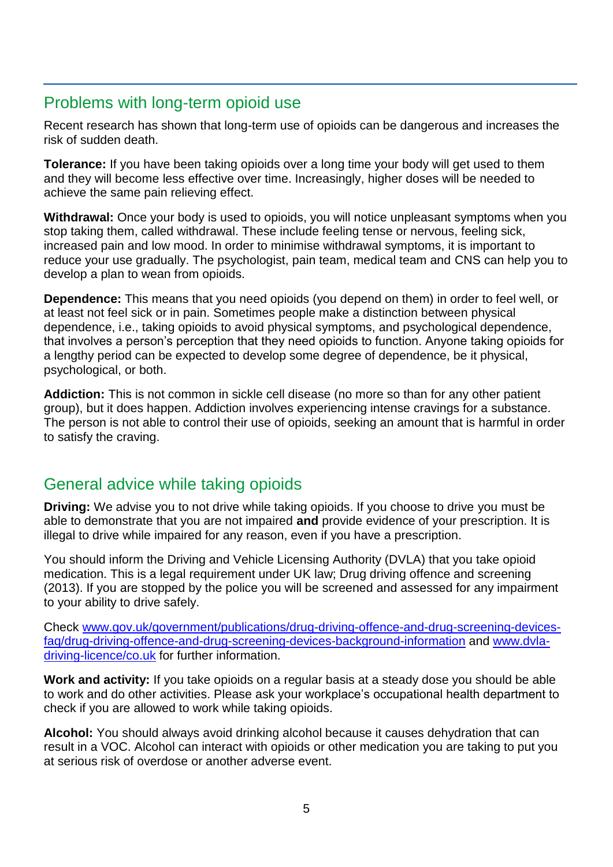## Problems with long-term opioid use

Recent research has shown that long-term use of opioids can be dangerous and increases the risk of sudden death.

**Tolerance:** If you have been taking opioids over a long time your body will get used to them and they will become less effective over time. Increasingly, higher doses will be needed to achieve the same pain relieving effect.

**Withdrawal:** Once your body is used to opioids, you will notice unpleasant symptoms when you stop taking them, called withdrawal. These include feeling tense or nervous, feeling sick, increased pain and low mood. In order to minimise withdrawal symptoms, it is important to reduce your use gradually. The psychologist, pain team, medical team and CNS can help you to develop a plan to wean from opioids.

**Dependence:** This means that you need opioids (you depend on them) in order to feel well, or at least not feel sick or in pain. Sometimes people make a distinction between physical dependence, i.e., taking opioids to avoid physical symptoms, and psychological dependence, that involves a person's perception that they need opioids to function. Anyone taking opioids for a lengthy period can be expected to develop some degree of dependence, be it physical, psychological, or both.

**Addiction:** This is not common in sickle cell disease (no more so than for any other patient group), but it does happen. Addiction involves experiencing intense cravings for a substance. The person is not able to control their use of opioids, seeking an amount that is harmful in order to satisfy the craving.

# General advice while taking opioids

**Driving:** We advise you to not drive while taking opioids. If you choose to drive you must be able to demonstrate that you are not impaired **and** provide evidence of your prescription. It is illegal to drive while impaired for any reason, even if you have a prescription.

You should inform the Driving and Vehicle Licensing Authority (DVLA) that you take opioid medication. This is a legal requirement under UK law; Drug driving offence and screening (2013). If you are stopped by the police you will be screened and assessed for any impairment to your ability to drive safely.

Check [www.gov.uk/government/publications/drug-driving-offence-and-drug-screening-devices](http://www.gov.uk/government/publications/drug-driving-offence-and-drug-screening-devices-faq/drug-driving-offence-and-drug-screening-devices-background-information)[faq/drug-driving-offence-and-drug-screening-devices-background-information](http://www.gov.uk/government/publications/drug-driving-offence-and-drug-screening-devices-faq/drug-driving-offence-and-drug-screening-devices-background-information) and [www.dvla](http://www.dvla-driving-licence/co.uk)[driving-licence/co.uk](http://www.dvla-driving-licence/co.uk) for further information.

**Work and activity:** If you take opioids on a regular basis at a steady dose you should be able to work and do other activities. Please ask your workplace's occupational health department to check if you are allowed to work while taking opioids.

**Alcohol:** You should always avoid drinking alcohol because it causes dehydration that can result in a VOC. Alcohol can interact with opioids or other medication you are taking to put you at serious risk of overdose or another adverse event.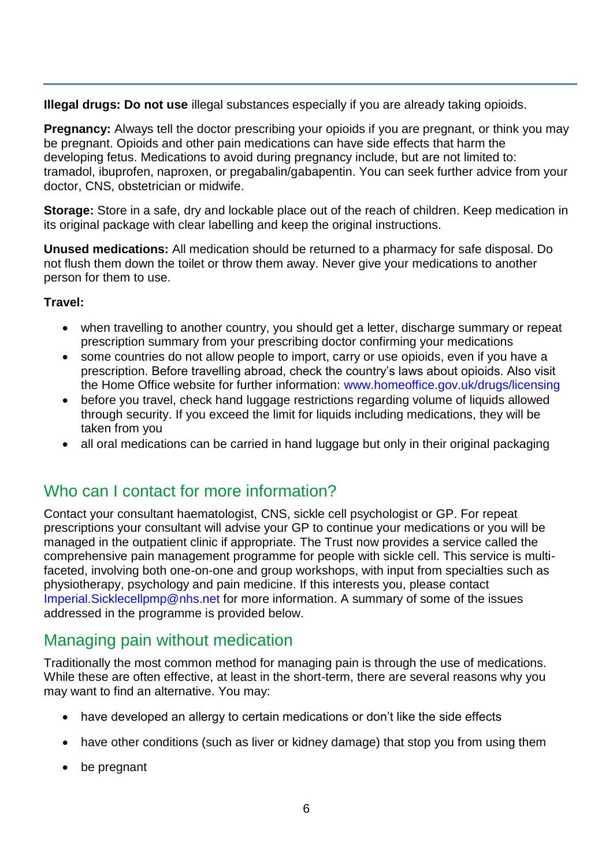**Illegal drugs: Do not use** illegal substances especially if you are already taking opioids.

**Pregnancy:** Always tell the doctor prescribing your opioids if you are pregnant, or think you may be pregnant. Opioids and other pain medications can have side effects that harm the developing fetus. Medications to avoid during pregnancy include, but are not limited to: tramadol, ibuprofen, naproxen, or pregabalin/gabapentin. You can seek further advice from your doctor, CNS, obstetrician or midwife.

**Storage:** Store in a safe, dry and lockable place out of the reach of children. Keep medication in its original package with clear labelling and keep the original instructions.

**Unused medications:** All medication should be returned to a pharmacy for safe disposal. Do not flush them down the toilet or throw them away. Never give your medications to another person for them to use.

#### **Travel:**

- when travelling to another country, you should get a letter, discharge summary or repeat prescription summary from your prescribing doctor confirming your medications
- some countries do not allow people to import, carry or use opioids, even if you have a prescription. Before travelling abroad, check the country's laws about opioids. Also visit the Home Office website for further information: [www.homeoffice.gov.uk/drugs/licensing](http://www.homeoffice.gov.uk/drugs/licensing)
- before you travel, check hand luggage restrictions regarding volume of liquids allowed through security. If you exceed the limit for liquids including medications, they will be taken from you
- all oral medications can be carried in hand luggage but only in their original packaging

## Who can I contact for more information?

Contact your consultant haematologist, CNS, sickle cell psychologist or GP. For repeat prescriptions your consultant will advise your GP to continue your medications or you will be managed in the outpatient clinic if appropriate. The Trust now provides a service called the comprehensive pain management programme for people with sickle cell. This service is multifaceted, involving both one-on-one and group workshops, with input from specialties such as physiotherapy, psychology and pain medicine. If this interests you, please contact [Imperial.Sicklecellpmp@nhs.net](mailto:Imperial.Sicklecellpmp@nhs.net) for more information. A summary of some of the issues addressed in the programme is provided below.

# Managing pain without medication

Traditionally the most common method for managing pain is through the use of medications. While these are often effective, at least in the short-term, there are several reasons why you may want to find an alternative. You may:

- have developed an allergy to certain medications or don't like the side effects
- have other conditions (such as liver or kidney damage) that stop you from using them
- be pregnant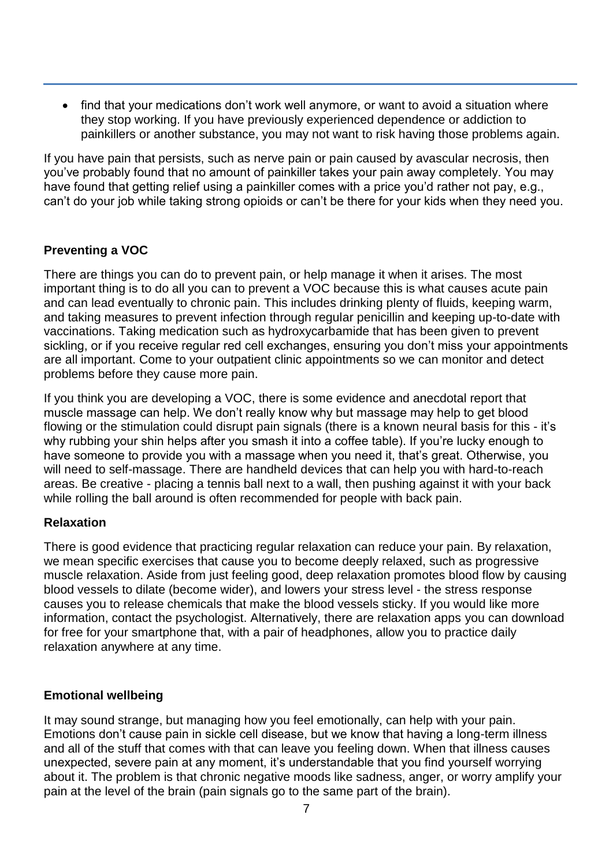• find that your medications don't work well anymore, or want to avoid a situation where they stop working. If you have previously experienced dependence or addiction to painkillers or another substance, you may not want to risk having those problems again.

If you have pain that persists, such as nerve pain or pain caused by avascular necrosis, then you've probably found that no amount of painkiller takes your pain away completely. You may have found that getting relief using a painkiller comes with a price you'd rather not pay, e.g., can't do your job while taking strong opioids or can't be there for your kids when they need you.

#### **Preventing a VOC**

There are things you can do to prevent pain, or help manage it when it arises. The most important thing is to do all you can to prevent a VOC because this is what causes acute pain and can lead eventually to chronic pain. This includes drinking plenty of fluids, keeping warm, and taking measures to prevent infection through regular penicillin and keeping up-to-date with vaccinations. Taking medication such as hydroxycarbamide that has been given to prevent sickling, or if you receive regular red cell exchanges, ensuring you don't miss your appointments are all important. Come to your outpatient clinic appointments so we can monitor and detect problems before they cause more pain.

If you think you are developing a VOC, there is some evidence and anecdotal report that muscle massage can help. We don't really know why but massage may help to get blood flowing or the stimulation could disrupt pain signals (there is a known neural basis for this - it's why rubbing your shin helps after you smash it into a coffee table). If you're lucky enough to have someone to provide you with a massage when you need it, that's great. Otherwise, you will need to self-massage. There are handheld devices that can help you with hard-to-reach areas. Be creative - placing a tennis ball next to a wall, then pushing against it with your back while rolling the ball around is often recommended for people with back pain.

#### **Relaxation**

There is good evidence that practicing regular relaxation can reduce your pain. By relaxation, we mean specific exercises that cause you to become deeply relaxed, such as progressive muscle relaxation. Aside from just feeling good, deep relaxation promotes blood flow by causing blood vessels to dilate (become wider), and lowers your stress level - the stress response causes you to release chemicals that make the blood vessels sticky. If you would like more information, contact the psychologist. Alternatively, there are relaxation apps you can download for free for your smartphone that, with a pair of headphones, allow you to practice daily relaxation anywhere at any time.

#### **Emotional wellbeing**

It may sound strange, but managing how you feel emotionally, can help with your pain. Emotions don't cause pain in sickle cell disease, but we know that having a long-term illness and all of the stuff that comes with that can leave you feeling down. When that illness causes unexpected, severe pain at any moment, it's understandable that you find yourself worrying about it. The problem is that chronic negative moods like sadness, anger, or worry amplify your pain at the level of the brain (pain signals go to the same part of the brain).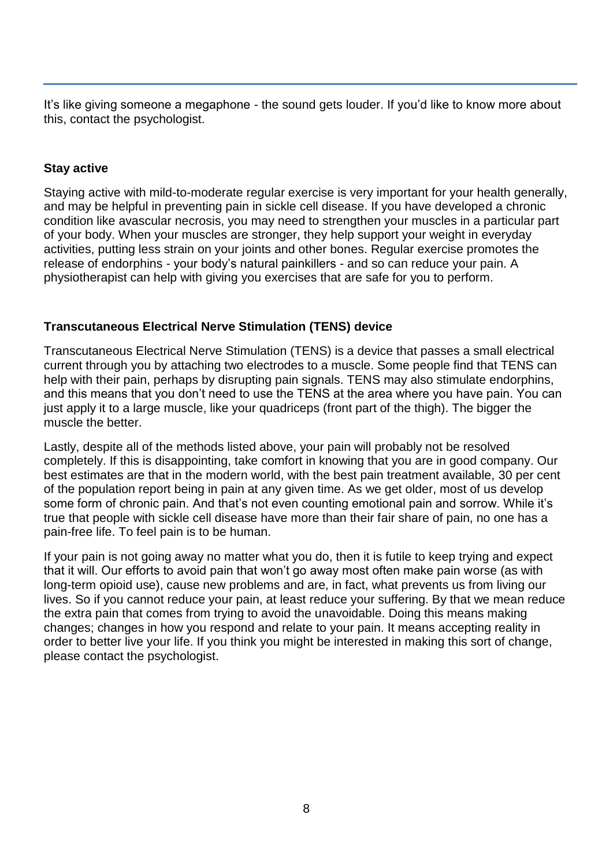It's like giving someone a megaphone - the sound gets louder. If you'd like to know more about this, contact the psychologist.

#### **Stay active**

Staying active with mild-to-moderate regular exercise is very important for your health generally, and may be helpful in preventing pain in sickle cell disease. If you have developed a chronic condition like avascular necrosis, you may need to strengthen your muscles in a particular part of your body. When your muscles are stronger, they help support your weight in everyday activities, putting less strain on your joints and other bones. Regular exercise promotes the release of endorphins - your body's natural painkillers - and so can reduce your pain. A physiotherapist can help with giving you exercises that are safe for you to perform.

#### **Transcutaneous Electrical Nerve Stimulation (TENS) device**

Transcutaneous Electrical Nerve Stimulation (TENS) is a device that passes a small electrical current through you by attaching two electrodes to a muscle. Some people find that TENS can help with their pain, perhaps by disrupting pain signals. TENS may also stimulate endorphins, and this means that you don't need to use the TENS at the area where you have pain. You can just apply it to a large muscle, like your quadriceps (front part of the thigh). The bigger the muscle the better.

Lastly, despite all of the methods listed above, your pain will probably not be resolved completely. If this is disappointing, take comfort in knowing that you are in good company. Our best estimates are that in the modern world, with the best pain treatment available, 30 per cent of the population report being in pain at any given time. As we get older, most of us develop some form of chronic pain. And that's not even counting emotional pain and sorrow. While it's true that people with sickle cell disease have more than their fair share of pain, no one has a pain-free life. To feel pain is to be human.

If your pain is not going away no matter what you do, then it is futile to keep trying and expect that it will. Our efforts to avoid pain that won't go away most often make pain worse (as with long-term opioid use), cause new problems and are, in fact, what prevents us from living our lives. So if you cannot reduce your pain, at least reduce your suffering. By that we mean reduce the extra pain that comes from trying to avoid the unavoidable. Doing this means making changes; changes in how you respond and relate to your pain. It means accepting reality in order to better live your life. If you think you might be interested in making this sort of change, please contact the psychologist.